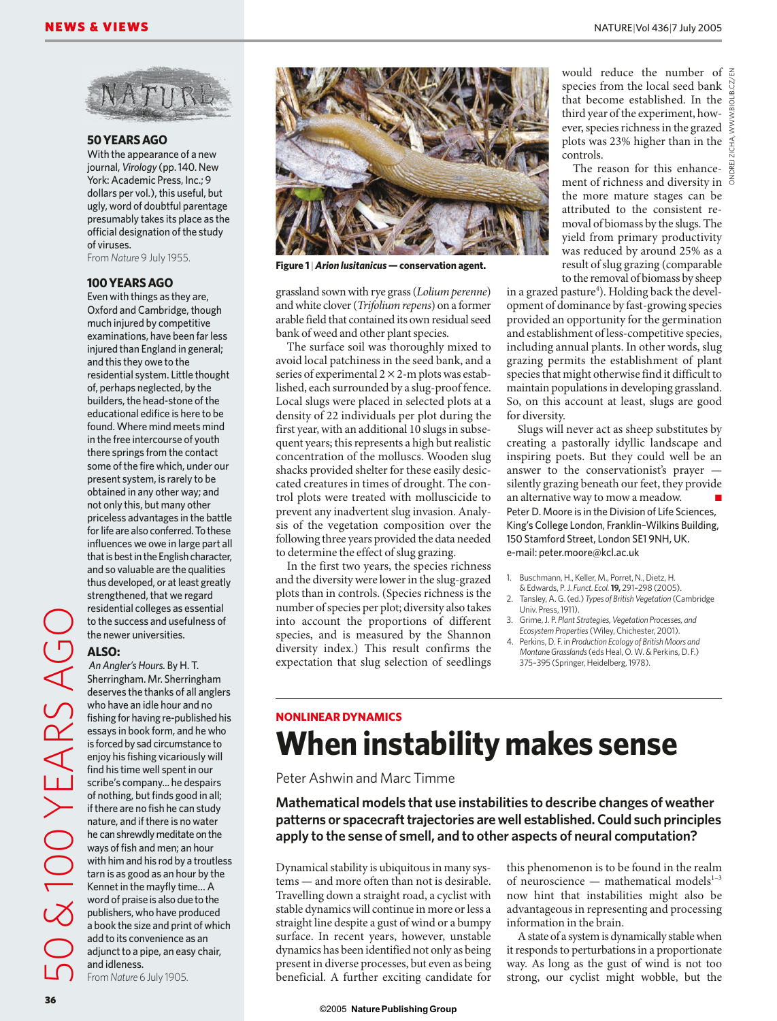

that become established. In the third year of the experiment, however, species richness in the grazed plots was 23% higher than in the  $\frac{2}{5}$ controls.

ONDREJ ZICHA, WWW.BIOLIB.CZ/EN

The reason for this enhancement of richness and diversity in the more mature stages can be attributed to the consistent removal of biomass by the slugs. The yield from primary productivity was reduced by around 25% as a result of slug grazing (comparable to the removal of biomass by sheep

in a grazed pasture<sup>4</sup>). Holding back the development of dominance by fast-growing species provided an opportunity for the germination and establishment of less-competitive species, including annual plants. In other words, slug grazing permits the establishment of plant species that might otherwise find it difficult to maintain populations in developing grassland. So, on this account at least, slugs are good for diversity.

Slugs will never act as sheep substitutes by creating a pastorally idyllic landscape and inspiring poets. But they could well be an answer to the conservationist's prayer silently grazing beneath our feet, they provide an alternative way to mow a meadow. Peter D. Moore is in the Division of Life Sciences, King's College London, Franklin–Wilkins Building, 150 Stamford Street, London SE1 9NH, UK. e-mail: peter.moore@kcl.ac.uk

- 1. Buschmann, H., Keller, M., Porret, N., Dietz, H. & Edwards, P. J. *Funct. Ecol.***19,** 291–298 (2005).
- 2. Tansley, A. G. (ed.) *Types of British Vegetation* (Cambridge Univ. Press, 1911).
- 3. Grime, J. P. *Plant Strategies, Vegetation Processes, and Ecosystem Properties*(Wiley, Chichester, 2001).
- 4. Perkins, D. F. in *Production Ecology of British Moors and Montane Grasslands*(eds Heal, O. W. & Perkins, D. F.) 375–395 (Springer, Heidelberg, 1978).

## **NONLINEAR DYNAMICS When instability makes sense**

Peter Ashwin and Marc Timme

#### **Mathematical models that use instabilities to describe changes of weather patterns or spacecraft trajectories are well established. Could such principles apply to the sense of smell, and to other aspects of neural computation?**

Dynamical stability is ubiquitous in many systems — and more often than not is desirable. Travelling down a straight road, a cyclist with stable dynamics will continue in more or less a straight line despite a gust of wind or a bumpy surface. In recent years, however, unstable dynamics has been identified not only as being present in diverse processes, but even as being beneficial. A further exciting candidate for

this phenomenon is to be found in the realm of neuroscience — mathematical models $1-3$ now hint that instabilities might also be advantageous in representing and processing information in the brain.

A state of a system is dynamically stable when it responds to perturbations in a proportionate way. As long as the gust of wind is not too strong, our cyclist might wobble, but the

# NATURE

**50 YEARS AGO**

With the appearance of a new journal, *Virology* (pp. 140. New York: Academic Press, Inc.; 9 dollars per vol.), this useful, but ugly, word of doubtful parentage presumably takes its place as the official designation of the study of viruses.

From *Nature* 9 July 1955.

#### **100 YEARS AGO**

Even with things as they are, Oxford and Cambridge, though much injured by competitive examinations, have been far less injured than England in general; and this they owe to the residential system. Little thought of, perhaps neglected, by the builders, the head-stone of the educational edifice is here to be found. Where mind meets mind in the free intercourse of youth there springs from the contact some of the fire which, under our present system, is rarely to be obtained in any other way; and not only this, but many other priceless advantages in the battle for life are also conferred. To these influences we owe in large part all that is best in the English character, and so valuable are the qualities thus developed, or at least greatly strengthened, that we regard residential colleges as essential to the success and usefulness of the newer universities.

### **ALSO:**

*An Angler's Hours.* By H. T. Sherringham. Mr. Sherringham deserves the thanks of all anglers who have an idle hour and no fishing for having re-published his essays in book form, and he who is forced by sad circumstance to enjoy his fishing vicariously will find his time well spent in our scribe's company... he despairs of nothing, but finds good in all; if there are no fish he can study nature, and if there is no water he can shrewdly meditate on the ways of fish and men; an hour with him and his rod by a troutless tarn is as good as an hour by the Kennet in the mayfly time… A word of praise is also due to the publishers, who have produced a book the size and print of which add to its convenience as an adjunct to a pipe, an easy chair, and idleness. **ALSO:**<br>
An Angler's Hours. By H.<br>
Sherringham. Mr. Sherr<br>
deserves the thanks of a<br>
who have an idle hour a<br>
fishing for having re-put<br>
essays in book form, an<br>
is forced by sad circums<br>
enjoy his fishing vicario<br>
enjoy h



**Figure 1** |*Arion lusitanicus* **— conservation agent.**

grassland sown with rye grass (*Lolium perenne*) and white clover (*Trifolium repens*) on a former arable field that contained its own residual seed bank of weed and other plant species.

The surface soil was thoroughly mixed to avoid local patchiness in the seed bank, and a series of experimental  $2 \times 2$ -m plots was established, each surrounded by a slug-proof fence. Local slugs were placed in selected plots at a density of 22 individuals per plot during the first year, with an additional 10 slugs in subsequent years; this represents a high but realistic concentration of the molluscs. Wooden slug shacks provided shelter for these easily desiccated creatures in times of drought. The control plots were treated with molluscicide to prevent any inadvertent slug invasion. Analysis of the vegetation composition over the following three years provided the data needed to determine the effect of slug grazing.

In the first two years, the species richness and the diversity were lower in the slug-grazed plots than in controls. (Species richness is the number of species per plot; diversity also takes into account the proportions of different species, and is measured by the Shannon diversity index.) This result confirms the expectation that slug selection of seedlings

36